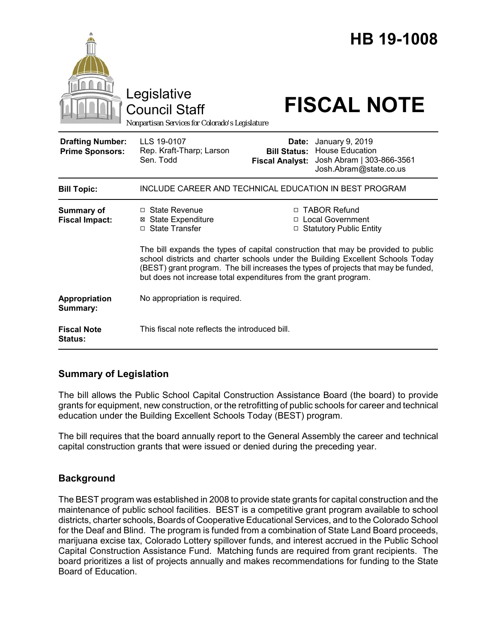|                                                   |                                                                                                                                                                                                                                                                                                                                |                                                        | <b>HB 19-1008</b>                                                                                |
|---------------------------------------------------|--------------------------------------------------------------------------------------------------------------------------------------------------------------------------------------------------------------------------------------------------------------------------------------------------------------------------------|--------------------------------------------------------|--------------------------------------------------------------------------------------------------|
|                                                   | Legislative<br><b>Council Staff</b><br>Nonpartisan Services for Colorado's Legislature                                                                                                                                                                                                                                         |                                                        | <b>FISCAL NOTE</b>                                                                               |
| <b>Drafting Number:</b><br><b>Prime Sponsors:</b> | LLS 19-0107<br>Rep. Kraft-Tharp; Larson<br>Sen. Todd                                                                                                                                                                                                                                                                           | Date:<br><b>Bill Status:</b><br><b>Fiscal Analyst:</b> | January 9, 2019<br><b>House Education</b><br>Josh Abram   303-866-3561<br>Josh.Abram@state.co.us |
| <b>Bill Topic:</b>                                | INCLUDE CAREER AND TECHNICAL EDUCATION IN BEST PROGRAM                                                                                                                                                                                                                                                                         |                                                        |                                                                                                  |
| <b>Summary of</b><br><b>Fiscal Impact:</b>        | □ State Revenue<br><b>⊠ State Expenditure</b><br>□ State Transfer                                                                                                                                                                                                                                                              |                                                        | □ TABOR Refund<br>□ Local Government<br>□ Statutory Public Entity                                |
|                                                   | The bill expands the types of capital construction that may be provided to public<br>school districts and charter schools under the Building Excellent Schools Today<br>(BEST) grant program. The bill increases the types of projects that may be funded,<br>but does not increase total expenditures from the grant program. |                                                        |                                                                                                  |
| Appropriation<br>Summary:                         | No appropriation is required.                                                                                                                                                                                                                                                                                                  |                                                        |                                                                                                  |
| <b>Fiscal Note</b><br><b>Status:</b>              | This fiscal note reflects the introduced bill.                                                                                                                                                                                                                                                                                 |                                                        |                                                                                                  |

# **Summary of Legislation**

The bill allows the Public School Capital Construction Assistance Board (the board) to provide grants for equipment, new construction, or the retrofitting of public schools for career and technical education under the Building Excellent Schools Today (BEST) program.

The bill requires that the board annually report to the General Assembly the career and technical capital construction grants that were issued or denied during the preceding year.

# **Background**

The BEST program was established in 2008 to provide state grants for capital construction and the maintenance of public school facilities. BEST is a competitive grant program available to school districts, charter schools, Boards of Cooperative Educational Services, and to the Colorado School for the Deaf and Blind. The program is funded from a combination of State Land Board proceeds, marijuana excise tax, Colorado Lottery spillover funds, and interest accrued in the Public School Capital Construction Assistance Fund. Matching funds are required from grant recipients. The board prioritizes a list of projects annually and makes recommendations for funding to the State Board of Education.